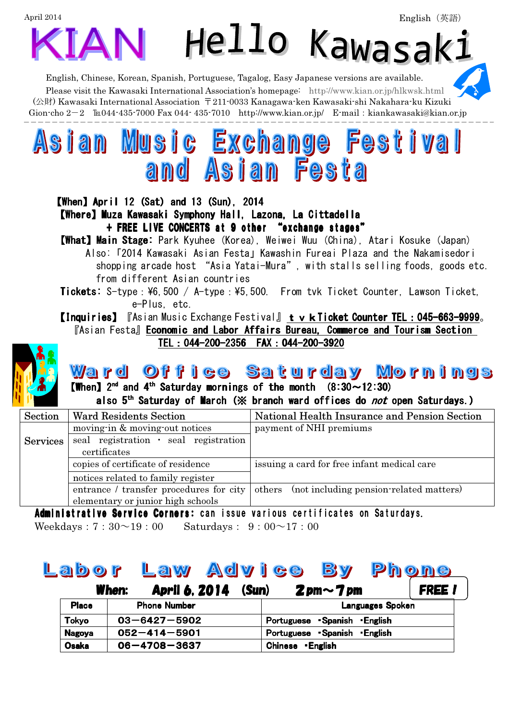| April 2014                                                                                                                                                                                                                                                                                                                                                                                                                                                                                                                                                                         |                                                                                               | English (英語)                                                                                                                                                                                                                                                                                                                   |  |  |  |  |  |  |  |
|------------------------------------------------------------------------------------------------------------------------------------------------------------------------------------------------------------------------------------------------------------------------------------------------------------------------------------------------------------------------------------------------------------------------------------------------------------------------------------------------------------------------------------------------------------------------------------|-----------------------------------------------------------------------------------------------|--------------------------------------------------------------------------------------------------------------------------------------------------------------------------------------------------------------------------------------------------------------------------------------------------------------------------------|--|--|--|--|--|--|--|
|                                                                                                                                                                                                                                                                                                                                                                                                                                                                                                                                                                                    | <b>KIAN</b>                                                                                   | Hello Kawasaki                                                                                                                                                                                                                                                                                                                 |  |  |  |  |  |  |  |
|                                                                                                                                                                                                                                                                                                                                                                                                                                                                                                                                                                                    | English, Chinese, Korean, Spanish, Portuguese, Tagalog, Easy Japanese versions are available. | Please visit the Kawasaki International Association's homepage: http://www.kian.or.jp/hlkwsk.html<br>$(\triangle \mathbb{H})$ Kawasaki International Association 〒211-0033 Kanagawa-ken Kawasaki-shi Nakahara-ku Kizuki<br>Gion-cho 2-2 TE044-435-7000 Fax 044-435-7010 http://www.kian.or.jp/ E-mail: kiankawasaki@kian.or.jp |  |  |  |  |  |  |  |
|                                                                                                                                                                                                                                                                                                                                                                                                                                                                                                                                                                                    | Asian Music Exchange Festival<br>and Asian Festa                                              |                                                                                                                                                                                                                                                                                                                                |  |  |  |  |  |  |  |
| <b>[When] April 12 (Sat) and 13 (Sun), 2014</b><br><b>[Where] Muza Kawasaki Symphony Hall, Lazona, La Cittadella</b><br>+ FREE LIVE CONCERTS at 9 other "exchange stages"<br><b>[What] Main Stage:</b> Park Kyuhee (Korea), Weiwei Wuu (China), Atari Kosuke (Japan)<br>Also: 「2014 Kawasaki Asian Festa」Kawashin Fureai Plaza and the Nakamisedori<br>shopping arcade host "Asia Yatai-Mura", with stalls selling foods, goods etc.<br>from different Asian countries<br><b>Tickets:</b> S-type: ¥6,500 / A-type: ¥5,500. From tvk Ticket Counter, Lawson Ticket,<br>e-Plus, etc. |                                                                                               |                                                                                                                                                                                                                                                                                                                                |  |  |  |  |  |  |  |
| <b>【Inquiries】 『Asian Music Exchange Festival』 tvkTicket Counter TEL:045-663-9999。</b><br><b>TAsian Festa</b> Economic and Labor Affairs Bureau, Commerce and Tourism Section<br>TEL: 044-200-2356 FAX: 044-200-3920                                                                                                                                                                                                                                                                                                                                                               |                                                                                               |                                                                                                                                                                                                                                                                                                                                |  |  |  |  |  |  |  |
|                                                                                                                                                                                                                                                                                                                                                                                                                                                                                                                                                                                    | <b>[When]</b> $2^{nd}$ and $4^{th}$ Saturday mornings of the month $(8:30 \sim 12:30)$        | <u>Ward Office Saturday Mornings</u><br>also 5 <sup>th</sup> Saturday of March (※ branch ward offices do <i>not</i> open Saturdays.)                                                                                                                                                                                           |  |  |  |  |  |  |  |
| Section                                                                                                                                                                                                                                                                                                                                                                                                                                                                                                                                                                            | <b>Ward Residents Section</b>                                                                 | National Health Insurance and Pension Section                                                                                                                                                                                                                                                                                  |  |  |  |  |  |  |  |
| <b>Services</b>                                                                                                                                                                                                                                                                                                                                                                                                                                                                                                                                                                    | moving in & moving out notices<br>seal registration · seal registration<br>certificates       | payment of NHI premiums                                                                                                                                                                                                                                                                                                        |  |  |  |  |  |  |  |
|                                                                                                                                                                                                                                                                                                                                                                                                                                                                                                                                                                                    | copies of certificate of residence                                                            | issuing a card for free infant medical care                                                                                                                                                                                                                                                                                    |  |  |  |  |  |  |  |
|                                                                                                                                                                                                                                                                                                                                                                                                                                                                                                                                                                                    | notices related to family register                                                            |                                                                                                                                                                                                                                                                                                                                |  |  |  |  |  |  |  |

Administrative Service Corners: can issue various certificates on Saturdays. entrance / transfer procedures for city | others (not including pension-related matters) elementary or junior high schools

Weekdays:  $7:30~19:00$  Saturdays:  $9:00~17:00$ 

## Labor Law Advice By Phone

|               | When: | April 6, 2014       | (Sun) | $2$ pm $\sim$ 7 pm         | <b>FREE!</b> |  |  |
|---------------|-------|---------------------|-------|----------------------------|--------------|--|--|
| <b>Place</b>  |       | <b>Phone Number</b> |       | <b>Languages Spoken</b>    |              |  |  |
| Tokyo         |       | $03 - 6427 - 5902$  |       | Portuguese Spanish English |              |  |  |
| <b>Nagoya</b> |       | $052 - 414 - 5901$  |       | Portuguese Spanish English |              |  |  |
| Osaka         |       | $06 - 4708 - 3637$  |       | <b>Chinese</b><br>•English |              |  |  |